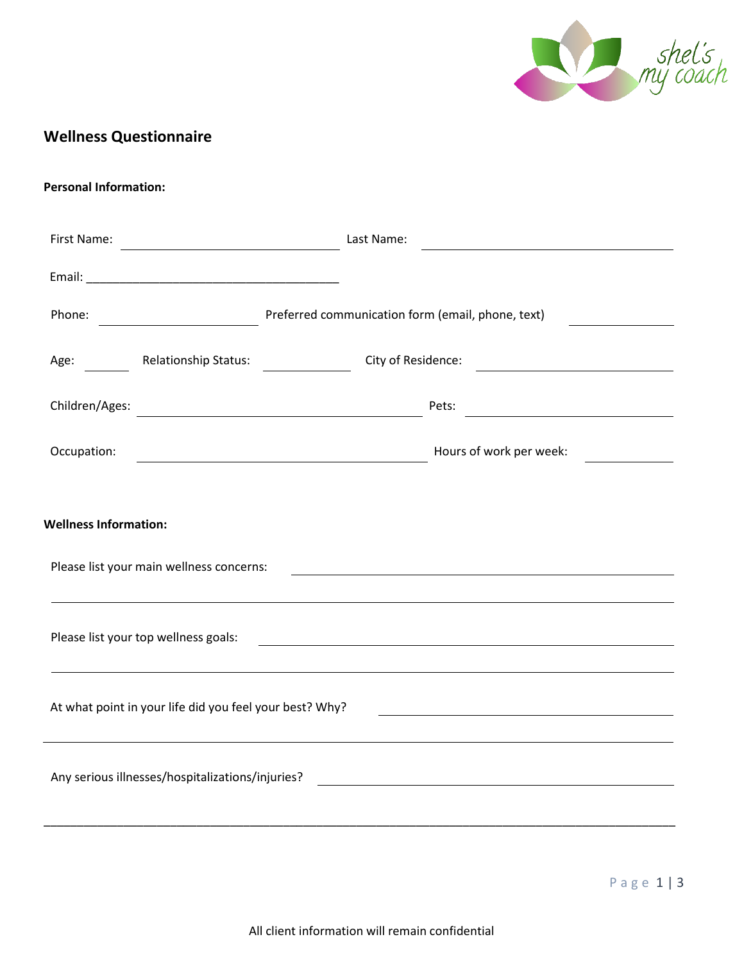

## **Wellness Questionnaire**

## **Personal Information:**

| First Name:                                                                                                                                                                                                                                                                                                                  |                                                                      | Last Name:                                                                           | <u> 1989 - Johann Harry Harry Harry Harry Harry Harry Harry Harry Harry Harry Harry Harry Harry Harry Harry Harry</u> |  |  |  |
|------------------------------------------------------------------------------------------------------------------------------------------------------------------------------------------------------------------------------------------------------------------------------------------------------------------------------|----------------------------------------------------------------------|--------------------------------------------------------------------------------------|-----------------------------------------------------------------------------------------------------------------------|--|--|--|
|                                                                                                                                                                                                                                                                                                                              |                                                                      |                                                                                      |                                                                                                                       |  |  |  |
| Phone:                                                                                                                                                                                                                                                                                                                       |                                                                      | Preferred communication form (email, phone, text)                                    |                                                                                                                       |  |  |  |
|                                                                                                                                                                                                                                                                                                                              | Age: Relationship Status:                                            | City of Residence:                                                                   |                                                                                                                       |  |  |  |
| Children/Ages:                                                                                                                                                                                                                                                                                                               | <u> 1989 - Johann Barn, mars ar breist fan de Amerikaanske komme</u> | Pets:                                                                                |                                                                                                                       |  |  |  |
| Occupation:                                                                                                                                                                                                                                                                                                                  |                                                                      | Hours of work per week:<br><u> 1989 - Johann Barnett, fransk politiker (d. 1989)</u> |                                                                                                                       |  |  |  |
| <b>Wellness Information:</b><br>Please list your main wellness concerns:<br>,我们也不会有什么。""我们的人,我们也不会有什么?""我们的人,我们也不会有什么?""我们的人,我们也不会有什么?""我们的人,我们也不会有什么?""我们的人<br>Please list your top wellness goals:<br><u> 1980 - Johann Barn, mars ann an t-Amhain Aonaich an t-Aonaich an t-Aonaich ann an t-Aonaich ann an t-Aonaich</u> |                                                                      |                                                                                      |                                                                                                                       |  |  |  |
| At what point in your life did you feel your best? Why?                                                                                                                                                                                                                                                                      |                                                                      |                                                                                      |                                                                                                                       |  |  |  |
| Any serious illnesses/hospitalizations/injuries?<br><u> 1989 - Johann Barbara, martxa amerikan bashkar (</u>                                                                                                                                                                                                                 |                                                                      |                                                                                      |                                                                                                                       |  |  |  |
|                                                                                                                                                                                                                                                                                                                              |                                                                      |                                                                                      |                                                                                                                       |  |  |  |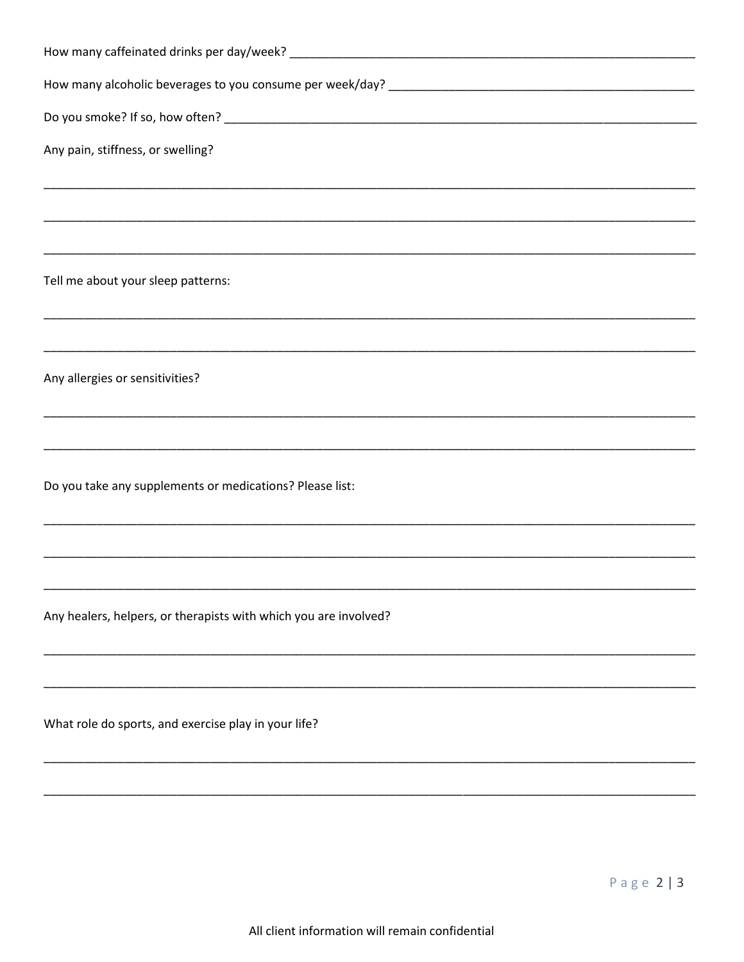| Any pain, stiffness, or swelling?                                                |
|----------------------------------------------------------------------------------|
| ,我们也不能在这里的时候,我们也不能在这里的时候,我们也不能会在这里,我们也不能会不能会不能会不能会。""我们的人,我们也不能会不能会不能会不能会不能会不能会不 |
|                                                                                  |
|                                                                                  |
| Tell me about your sleep patterns:                                               |
| <u> 1980 - Jan Barnett, fransk komponent (d. 1980)</u>                           |
|                                                                                  |
| Any allergies or sensitivities?                                                  |
|                                                                                  |
|                                                                                  |
| Do you take any supplements or medications? Please list:                         |
|                                                                                  |
|                                                                                  |
|                                                                                  |
| Any healers, helpers, or therapists with which you are involved?                 |
|                                                                                  |
|                                                                                  |
| What role do sports, and exercise play in your life?                             |
|                                                                                  |
|                                                                                  |
|                                                                                  |